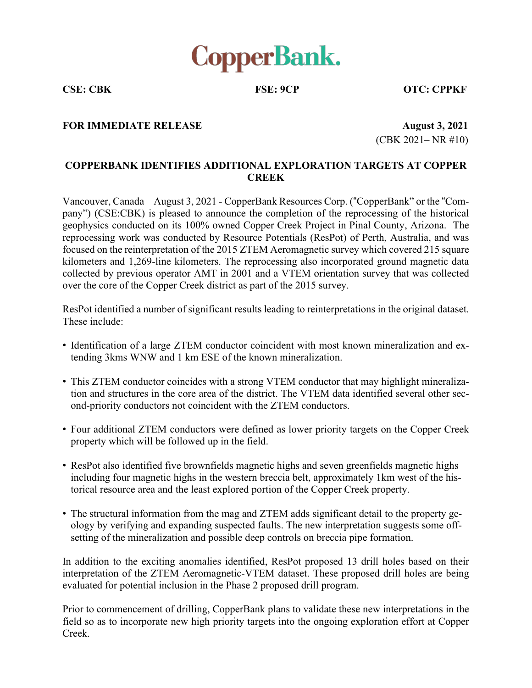

**CSE: CBK FSE: 9CP OTC: CPPKF**

## **FOR IMMEDIATE RELEASE August 3, 2021**

 $(CBK 2021 - NR #10)$ 

## **COPPERBANK IDENTIFIES ADDITIONAL EXPLORATION TARGETS AT COPPER CREEK**

Vancouver, Canada – August 3, 2021 - CopperBank Resources Corp. ("CopperBank" or the "Company´) (CSE:CBK) is pleased to announce the completion of the reprocessing of the historical geophysics conducted on its 100% owned Copper Creek Project in Pinal County, Arizona. The reprocessing work was conducted by Resource Potentials (ResPot) of Perth, Australia, and was focused on the reinterpretation of the 2015 ZTEM Aeromagnetic survey which covered 215 square kilometers and 1,269-line kilometers. The reprocessing also incorporated ground magnetic data collected by previous operator AMT in 2001 and a VTEM orientation survey that was collected over the core of the Copper Creek district as part of the 2015 survey.

ResPot identified a number of significant results leading to reinterpretations in the original dataset. These include:

- Identification of a large ZTEM conductor coincident with most known mineralization and extending 3kms WNW and 1 km ESE of the known mineralization.
- This ZTEM conductor coincides with a strong VTEM conductor that may highlight mineralization and structures in the core area of the district. The VTEM data identified several other second-priority conductors not coincident with the ZTEM conductors.
- Four additional ZTEM conductors were defined as lower priority targets on the Copper Creek property which will be followed up in the field.
- ResPot also identified five brownfields magnetic highs and seven greenfields magnetic highs including four magnetic highs in the western breccia belt, approximately 1km west of the historical resource area and the least explored portion of the Copper Creek property.
- The structural information from the mag and ZTEM adds significant detail to the property geology by verifying and expanding suspected faults. The new interpretation suggests some offsetting of the mineralization and possible deep controls on breccia pipe formation.

In addition to the exciting anomalies identified, ResPot proposed 13 drill holes based on their interpretation of the ZTEM Aeromagnetic-VTEM dataset. These proposed drill holes are being evaluated for potential inclusion in the Phase 2 proposed drill program.

Prior to commencement of drilling, CopperBank plans to validate these new interpretations in the field so as to incorporate new high priority targets into the ongoing exploration effort at Copper Creek.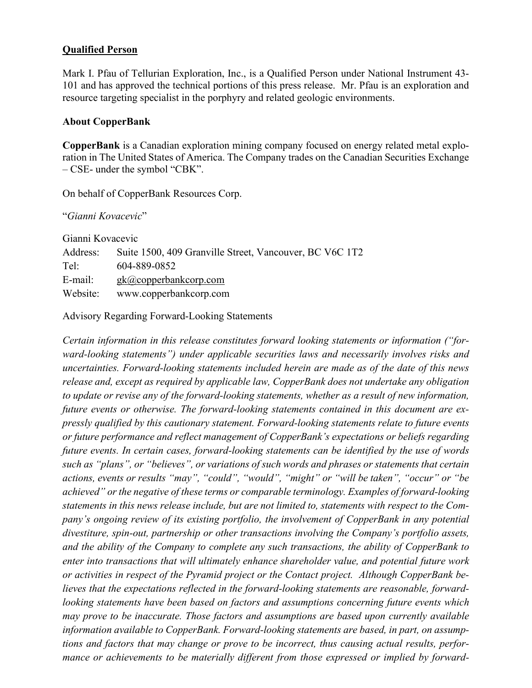## **Qualified Person**

Mark I. Pfau of Tellurian Exploration, Inc., is a Qualified Person under National Instrument 43- 101 and has approved the technical portions of this press release. Mr. Pfau is an exploration and resource targeting specialist in the porphyry and related geologic environments.

## **About CopperBank**

**CopperBank** is a Canadian exploration mining company focused on energy related metal exploration in The United States of America. The Company trades on the Canadian Securities Exchange  $-$  CSE- under the symbol "CBK".

On behalf of CopperBank Resources Corp.

³*Gianni Kovacevic*´

Gianni Kovacevic

|      | Address: Suite 1500, 409 Granville Street, Vancouver, BC V6C 1T2 |
|------|------------------------------------------------------------------|
| Tel: | 604-889-0852                                                     |

E-mail: gk@copperbankcorp.com

Website: www.copperbankcorp.com

Advisory Regarding Forward-Looking Statements

*Certain information in this release constitutes forward looking statements or information ("forward-looking statements*") *under applicable securities laws and necessarily <i>involves risks and uncertainties. Forward-looking statements included herein are made as of the date of this news release and, except as required by applicable law, CopperBank does not undertake any obligation to update or revise any of the forward-looking statements, whether as a result of new information, future events or otherwise. The forward-looking statements contained in this document are expressly qualified by this cautionary statement. Forward-looking statements relate to future events or* future performance and reflect management of CopperBank's expectations or beliefs regarding *future events. In certain cases, forward-looking statements can be identified by the use of words such as "plans", or "believes", or variations of such words and phrases or statements that certain actions, events or results "may", "could", "would", "might" or "will be taken", "occur" or "be achieYed´ or the negative of these terms or comparable terminology. Examples of forward-looking statements in this news release include, but are not limited to, statements with respect to the Com-SaQ\¶V ongoing review of its existing portfolio, the involvement of CopperBank in any potential divestiture, spin-out, partnership or other transactions involving the Company's portfolio assets, and the ability of the Company to complete any such transactions, the ability of CopperBank to enter into transactions that will ultimately enhance shareholder value, and potential future work or activities in respect of the Pyramid project or the Contact project. Although CopperBank believes that the expectations reflected in the forward-looking statements are reasonable, forwardlooking statements have been based on factors and assumptions concerning future events which may prove to be inaccurate. Those factors and assumptions are based upon currently available information available to CopperBank. Forward-looking statements are based, in part, on assumptions and factors that may change or prove to be incorrect, thus causing actual results, performance or achievements to be materially different from those expressed or implied by forward-*